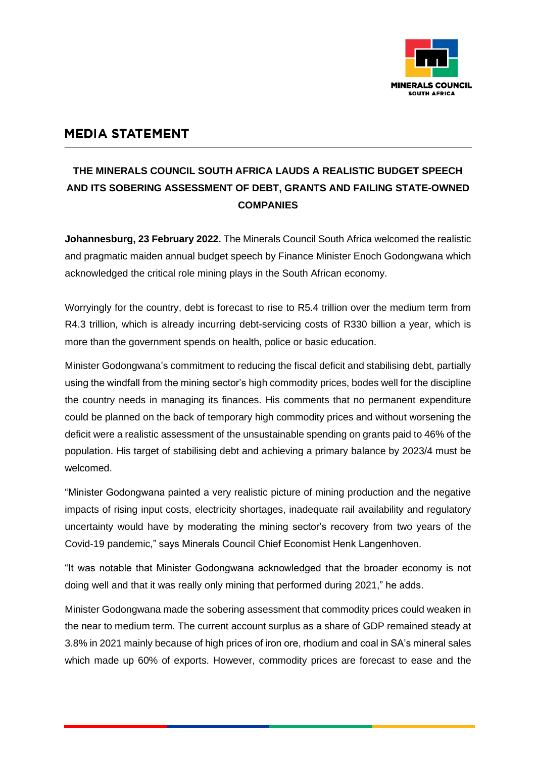

## **MEDIA STATEMENT**

## **THE MINERALS COUNCIL SOUTH AFRICA LAUDS A REALISTIC BUDGET SPEECH AND ITS SOBERING ASSESSMENT OF DEBT, GRANTS AND FAILING STATE-OWNED COMPANIES**

**Johannesburg, 23 February 2022.** The Minerals Council South Africa welcomed the realistic and pragmatic maiden annual budget speech by Finance Minister Enoch Godongwana which acknowledged the critical role mining plays in the South African economy.

Worryingly for the country, debt is forecast to rise to R5.4 trillion over the medium term from R4.3 trillion, which is already incurring debt-servicing costs of R330 billion a year, which is more than the government spends on health, police or basic education.

Minister Godongwana's commitment to reducing the fiscal deficit and stabilising debt, partially using the windfall from the mining sector's high commodity prices, bodes well for the discipline the country needs in managing its finances. His comments that no permanent expenditure could be planned on the back of temporary high commodity prices and without worsening the deficit were a realistic assessment of the unsustainable spending on grants paid to 46% of the population. His target of stabilising debt and achieving a primary balance by 2023/4 must be welcomed.

"Minister Godongwana painted a very realistic picture of mining production and the negative impacts of rising input costs, electricity shortages, inadequate rail availability and regulatory uncertainty would have by moderating the mining sector's recovery from two years of the Covid-19 pandemic," says Minerals Council Chief Economist Henk Langenhoven.

"It was notable that Minister Godongwana acknowledged that the broader economy is not doing well and that it was really only mining that performed during 2021," he adds.

Minister Godongwana made the sobering assessment that commodity prices could weaken in the near to medium term. The current account surplus as a share of GDP remained steady at 3.8% in 2021 mainly because of high prices of iron ore, rhodium and coal in SA's mineral sales which made up 60% of exports. However, commodity prices are forecast to ease and the